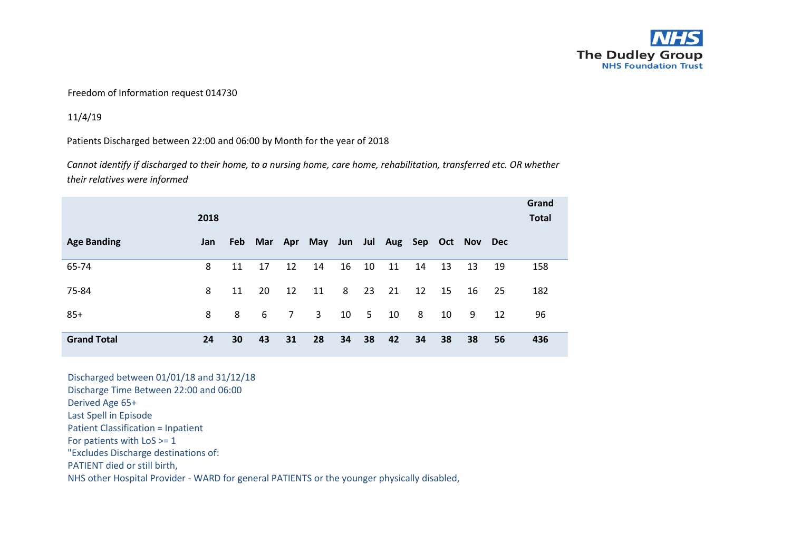

## Freedom of Information request 014730

11/4/19

Patients Discharged between 22:00 and 06:00 by Month for the year of 2018

*Cannot identify if discharged to their home, to a nursing home, care home, rehabilitation, transferred etc. OR whether their relatives were informed*

|                    | 2018 |     |     |             |                                     |    |    |    |    |    |    |    | Grand<br><b>Total</b> |
|--------------------|------|-----|-----|-------------|-------------------------------------|----|----|----|----|----|----|----|-----------------------|
| <b>Age Banding</b> | Jan  | Feb | Mar |             | Apr May Jun Jul Aug Sep Oct Nov Dec |    |    |    |    |    |    |    |                       |
| 65-74              | 8    | 11  | 17  | 12          | 14                                  | 16 | 10 | 11 | 14 | 13 | 13 | 19 | 158                   |
| 75-84              | 8    | 11  | 20  | 12          | 11                                  | 8  | 23 | 21 | 12 | 15 | 16 | 25 | 182                   |
| $85+$              | 8    | 8   | 6   | $7^{\circ}$ | 3                                   | 10 | 5  | 10 | 8  | 10 | 9  | 12 | 96                    |
| <b>Grand Total</b> | 24   | 30  | 43  | 31          | 28                                  | 34 | 38 | 42 | 34 | 38 | 38 | 56 | 436                   |

Discharged between 01/01/18 and 31/12/18 Discharge Time Between 22:00 and 06:00 Derived Age 65+ Last Spell in Episode Patient Classification = Inpatient For patients with LoS >= 1 "Excludes Discharge destinations of: PATIENT died or still birth, NHS other Hospital Provider - WARD for general PATIENTS or the younger physically disabled,